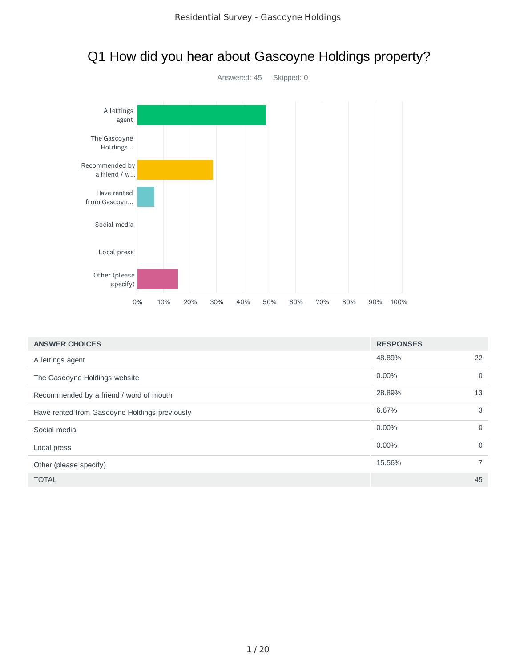

| Q1 How did you hear about Gascoyne Holdings property? |  |
|-------------------------------------------------------|--|
|-------------------------------------------------------|--|

| <b>ANSWER CHOICES</b>                         | <b>RESPONSES</b> |    |
|-----------------------------------------------|------------------|----|
| A lettings agent                              | 48.89%           | 22 |
| The Gascoyne Holdings website                 | $0.00\%$         | 0  |
| Recommended by a friend / word of mouth       | 28.89%           | 13 |
| Have rented from Gascoyne Holdings previously | 6.67%            | 3  |
| Social media                                  | $0.00\%$         | 0  |
| Local press                                   | $0.00\%$         | 0  |
| Other (please specify)                        | 15.56%           |    |
| <b>TOTAL</b>                                  |                  | 45 |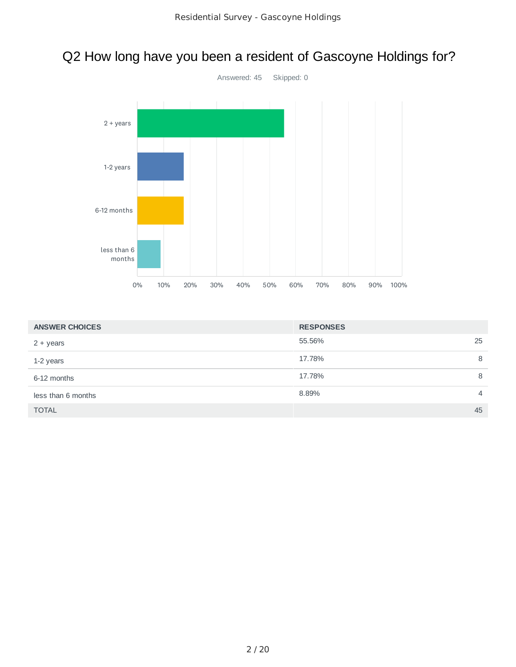# Q2 How long have you been a resident of Gascoyne Holdings for?



| <b>ANSWER CHOICES</b> | <b>RESPONSES</b> |    |
|-----------------------|------------------|----|
| $2 + years$           | 55.56%           | 25 |
| 1-2 years             | 17.78%           | 8  |
| 6-12 months           | 17.78%           | 8  |
| less than 6 months    | 8.89%            | 4  |
| <b>TOTAL</b>          |                  | 45 |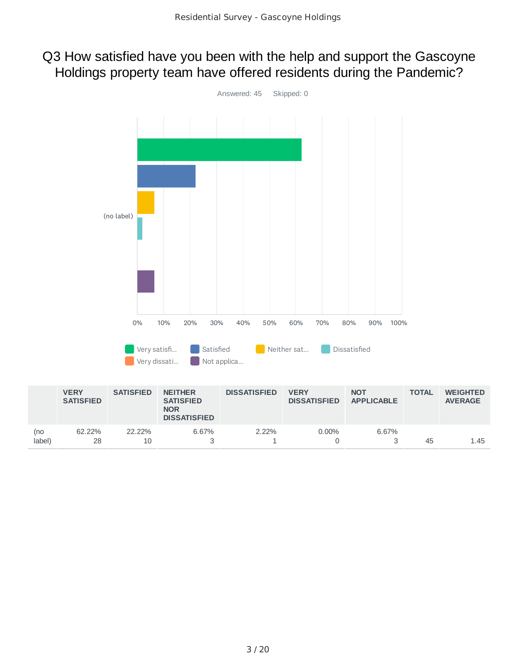### Q3 How satisfied have you been with the help and support the Gascoyne Holdings property team have offered residents during the Pandemic?



|               | <b>VERY</b><br><b>SATISFIED</b> | <b>SATISFIED</b> | <b>NEITHER</b><br><b>SATISFIED</b><br><b>NOR</b><br><b>DISSATISFIED</b> | <b>DISSATISFIED</b> | <b>VERY</b><br><b>DISSATISFIED</b> | <b>NOT</b><br><b>APPLICABLE</b> | <b>TOTAL</b> | <b>WEIGHTED</b><br><b>AVERAGE</b> |
|---------------|---------------------------------|------------------|-------------------------------------------------------------------------|---------------------|------------------------------------|---------------------------------|--------------|-----------------------------------|
| (no<br>label) | 62.22%<br>28                    | 22.22%<br>10     | 6.67%                                                                   | $2.22\%$            | $0.00\%$                           | 6.67%                           | 45           | 1.45                              |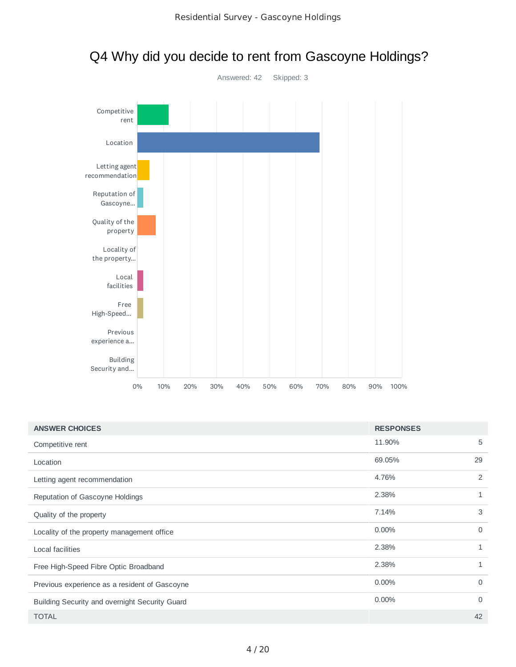

# Q4 Why did you decide to rent from Gascoyne Holdings?

| <b>ANSWER CHOICES</b>                          | <b>RESPONSES</b> |          |
|------------------------------------------------|------------------|----------|
| Competitive rent                               | 11.90%           | 5        |
| Location                                       | 69.05%           | 29       |
| Letting agent recommendation                   | 4.76%            | 2        |
| Reputation of Gascoyne Holdings                | 2.38%            | 1        |
| Quality of the property                        | 7.14%            | 3        |
| Locality of the property management office     | $0.00\%$         | 0        |
| Local facilities                               | 2.38%            | 1        |
| Free High-Speed Fibre Optic Broadband          | 2.38%            | 1        |
| Previous experience as a resident of Gascoyne  | $0.00\%$         | $\Omega$ |
| Building Security and overnight Security Guard | 0.00%            | 0        |
| <b>TOTAL</b>                                   |                  | 42       |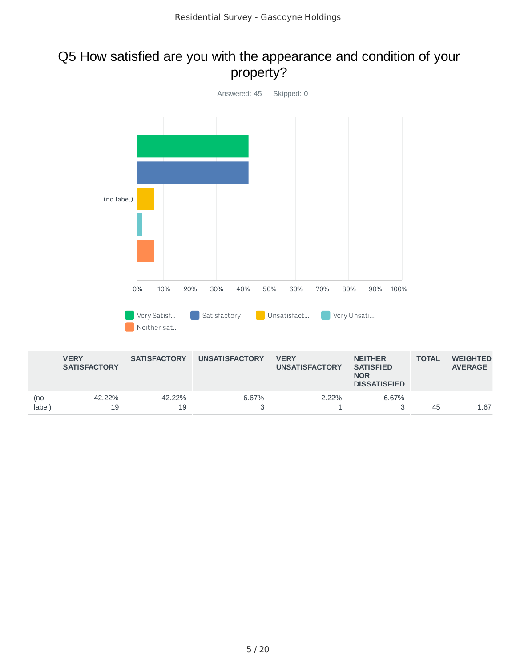### Q5 How satisfied are you with the appearance and condition of your property?



|               | <b>VERY</b><br><b>SATISFACTORY</b> | <b>SATISFACTORY</b> | <b>UNSATISFACTORY</b> | <b>VERY</b><br><b>UNSATISFACTORY</b> | <b>NEITHER</b><br><b>SATISFIED</b><br><b>NOR</b><br><b>DISSATISFIED</b> | <b>TOTAL</b> | <b>WEIGHTED</b><br><b>AVERAGE</b> |
|---------------|------------------------------------|---------------------|-----------------------|--------------------------------------|-------------------------------------------------------------------------|--------------|-----------------------------------|
| (no<br>label) | 42.22%<br>19                       | 42.22%<br>19        | 6.67%                 | $2.22\%$                             | 6.67%                                                                   | 45           | 1.67                              |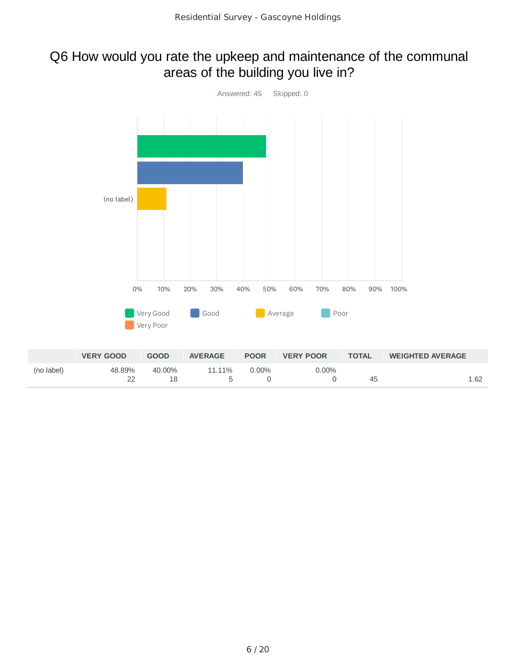# Q6 How would you rate the upkeep and maintenance of the communal areas of the building you live in?



|            | <b>VERY GOOD</b> | <b>GOOD</b>  | <b>AVERAGE</b> | <b>POOR</b> | <b>VERY POOR</b> | <b>TOTAL</b> | <b>WEIGHTED AVERAGE</b> |
|------------|------------------|--------------|----------------|-------------|------------------|--------------|-------------------------|
| (no label) | 48.89%           | 40.00%<br>18 | 11.11%         | $0.00\%$    | $0.00\%$         | 45           | 1.62                    |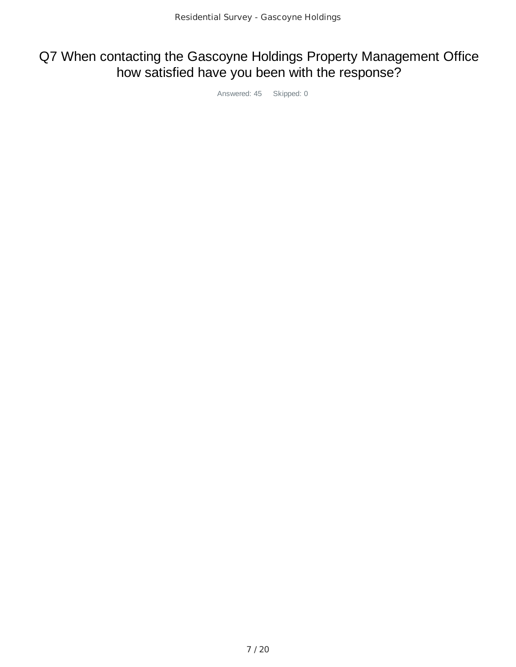# Q7 When contacting the Gascoyne Holdings Property Management Office how satisfied have you been with the response?

Answered: 45 Skipped: 0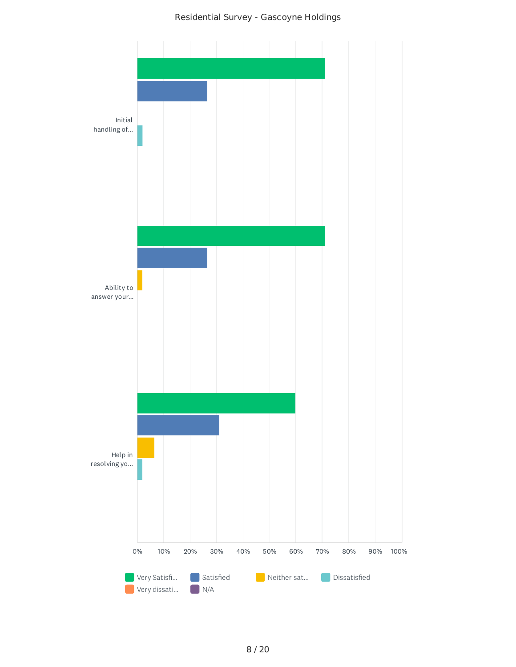Residential Survey - Gascoyne Holdings

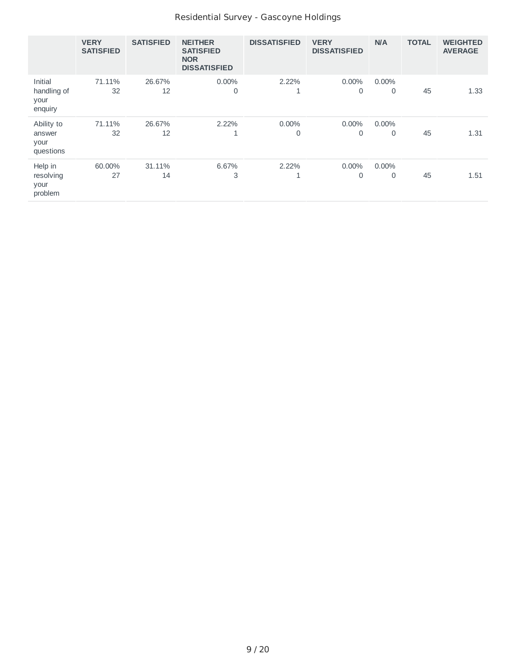#### Residential Survey - Gascoyne Holdings

|                                           | <b>VERY</b><br><b>SATISFIED</b> | <b>SATISFIED</b> | <b>NEITHER</b><br><b>SATISFIED</b><br><b>NOR</b><br><b>DISSATISFIED</b> | <b>DISSATISFIED</b> | <b>VERY</b><br><b>DISSATISFIED</b> | N/A           | <b>TOTAL</b> | <b>WEIGHTED</b><br><b>AVERAGE</b> |
|-------------------------------------------|---------------------------------|------------------|-------------------------------------------------------------------------|---------------------|------------------------------------|---------------|--------------|-----------------------------------|
| Initial<br>handling of<br>your<br>enquiry | 71.11%<br>32                    | 26.67%<br>12     | $0.00\%$<br>$\overline{0}$                                              | 2.22%<br>┻          | $0.00\%$<br>0                      | $0.00\%$<br>0 | 45           | 1.33                              |
| Ability to<br>answer<br>your<br>questions | 71.11%<br>32                    | 26.67%<br>12     | 2.22%<br>1                                                              | $0.00\%$<br>0       | $0.00\%$<br>0                      | $0.00\%$<br>0 | 45           | 1.31                              |
| Help in<br>resolving<br>your<br>problem   | 60.00%<br>27                    | 31.11%<br>14     | 6.67%<br>3                                                              | 2.22%<br>Ŧ          | $0.00\%$<br>0                      | $0.00\%$<br>0 | 45           | 1.51                              |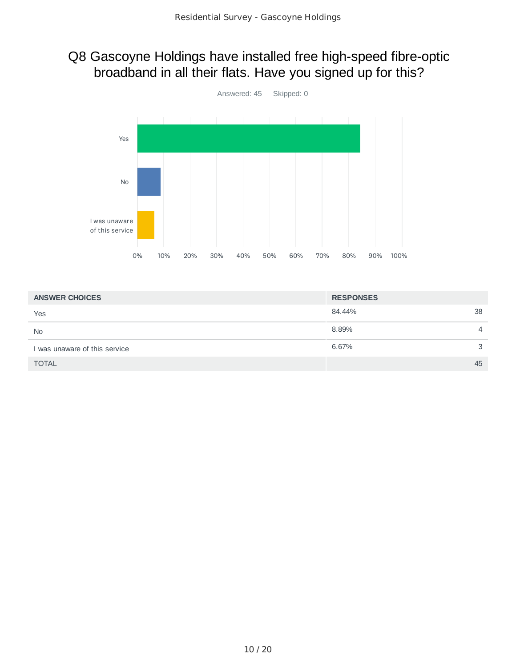## Q8 Gascoyne Holdings have installed free high-speed fibre-optic broadband in all their flats. Have you signed up for this?



| <b>ANSWER CHOICES</b>         | <b>RESPONSES</b> |    |
|-------------------------------|------------------|----|
| Yes                           | 84.44%           | 38 |
| <b>No</b>                     | 8.89%            | 4  |
| I was unaware of this service | 6.67%            | 3  |
| <b>TOTAL</b>                  |                  | 45 |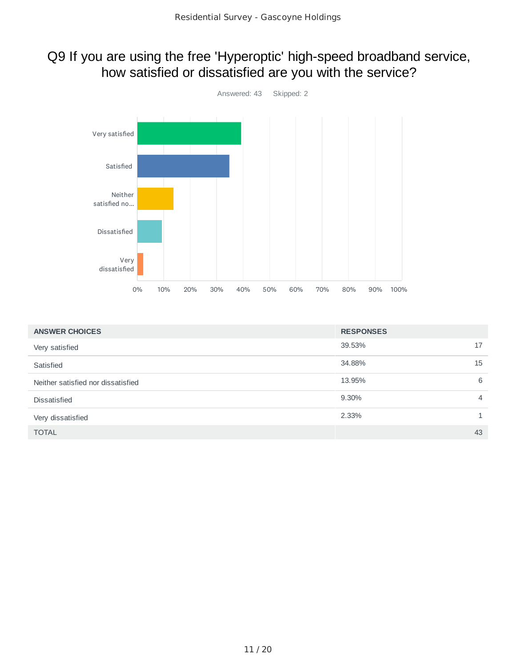## Q9 If you are using the free 'Hyperoptic' high-speed broadband service, how satisfied or dissatisfied are you with the service?



| <b>ANSWER CHOICES</b>              | <b>RESPONSES</b> |
|------------------------------------|------------------|
| Very satisfied                     | 39.53%<br>17     |
| Satisfied                          | 34.88%<br>15     |
| Neither satisfied nor dissatisfied | 13.95%<br>6      |
| <b>Dissatisfied</b>                | 9.30%<br>4       |
| Very dissatisfied                  | 2.33%            |
| <b>TOTAL</b>                       | 43               |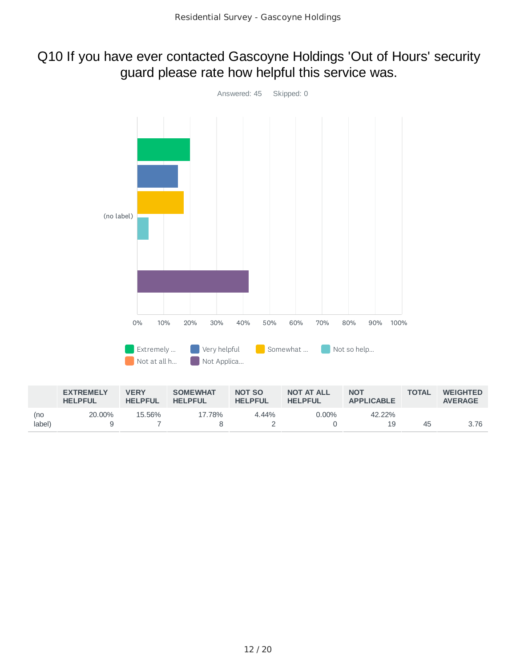### Q10 If you have ever contacted Gascoyne Holdings 'Out of Hours' security guard please rate how helpful this service was.



|        | <b>EXTREMELY</b><br><b>HELPFUL</b> | <b>VERY</b><br><b>HELPFUL</b> | <b>SOMEWHAT</b><br><b>HELPFUL</b> | NOT SO<br><b>HELPFUL</b> | <b>NOT AT ALL</b><br><b>HELPFUL</b> | <b>NOT</b><br><b>APPLICABLE</b> | <b>TOTAL</b> | <b>WEIGHTED</b><br><b>AVERAGE</b> |
|--------|------------------------------------|-------------------------------|-----------------------------------|--------------------------|-------------------------------------|---------------------------------|--------------|-----------------------------------|
| (no    | 20,00%                             | 15.56%                        | 17.78%                            | $4.44\%$                 | $0.00\%$                            | 42.22%                          |              |                                   |
| label) |                                    |                               |                                   |                          |                                     | 19                              | 45           | 3.76                              |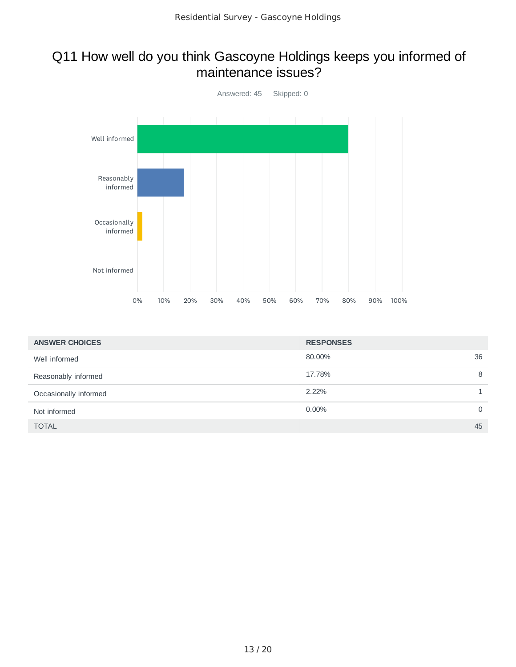### Q11 How well do you think Gascoyne Holdings keeps you informed of maintenance issues?



| <b>ANSWER CHOICES</b> | <b>RESPONSES</b> |
|-----------------------|------------------|
| Well informed         | 80.00%<br>36     |
| Reasonably informed   | 17.78%<br>8      |
| Occasionally informed | 2.22%            |
| Not informed          | $0.00\%$<br>0    |
| <b>TOTAL</b>          | 45               |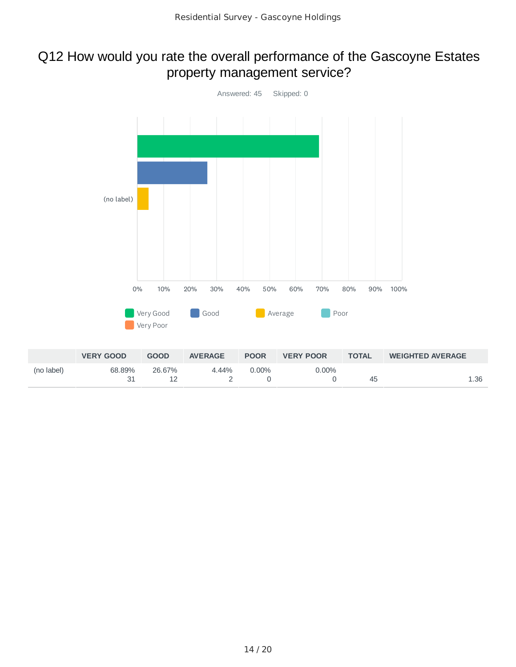### Q12 How would you rate the overall performance of the Gascoyne Estates property management service?



|            | <b>VERY GOOD</b> | <b>GOOD</b> | <b>AVERAGE</b> | <b>POOR</b> | <b>VERY POOR</b> | <b>TOTAL</b> | <b>WEIGHTED AVERAGE</b> |
|------------|------------------|-------------|----------------|-------------|------------------|--------------|-------------------------|
| (no label) | 68.89%           | 26.67%      | 4.44%          | $0.00\%$    | $0.00\%$         | 45           | 1.36                    |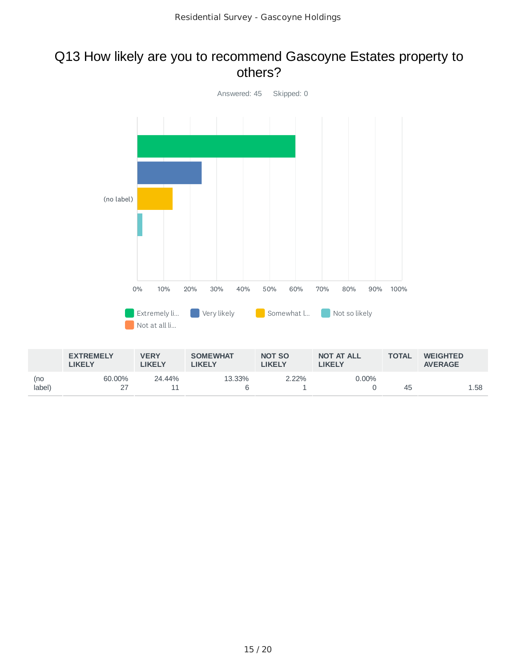#### Q13 How likely are you to recommend Gascoyne Estates property to others?



|               | <b>EXTREMELY</b><br>LIKELY | <b>VERY</b><br><b>IKELY</b> | <b>SOMEWHAT</b><br><b>LIKELY</b> | <b>NOT SO</b><br>LIKELY | <b>NOT AT ALL</b><br><b>LIKELY</b> | <b>TOTAL</b> | <b>WEIGHTED</b><br><b>AVERAGE</b> |
|---------------|----------------------------|-----------------------------|----------------------------------|-------------------------|------------------------------------|--------------|-----------------------------------|
| (no<br>label) | 60.00%                     | 24.44%                      | 13.33%                           | $2.22\%$                | $0.00\%$                           | 45           | 1.58                              |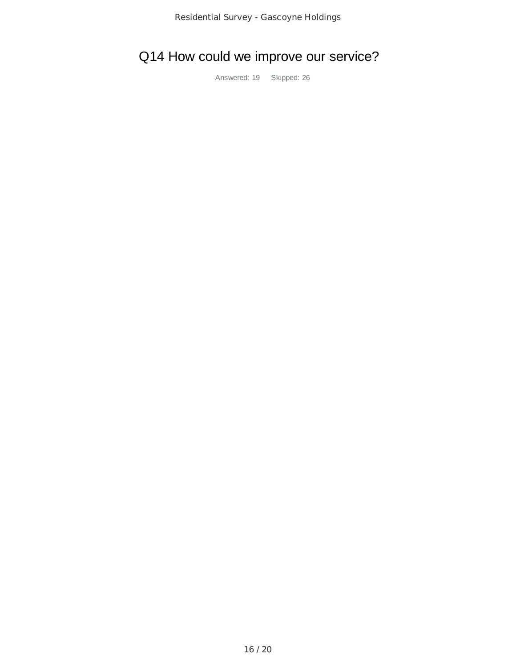# Q14 How could we improve our service?

Answered: 19 Skipped: 26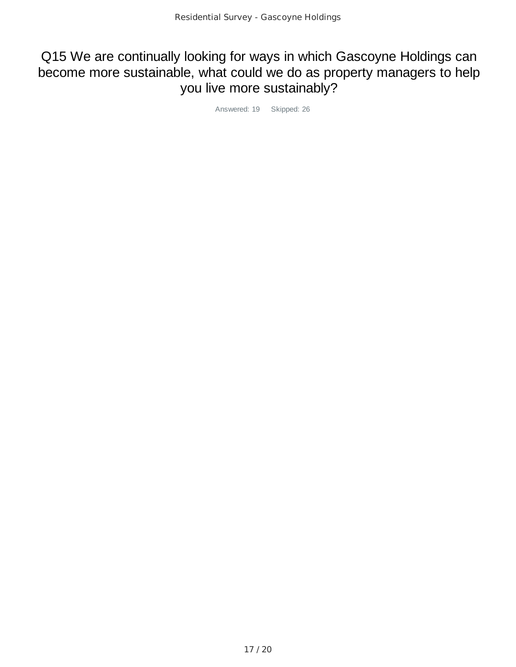## Q15 We are continually looking for ways in which Gascoyne Holdings can become more sustainable, what could we do as property managers to help you live more sustainably?

Answered: 19 Skipped: 26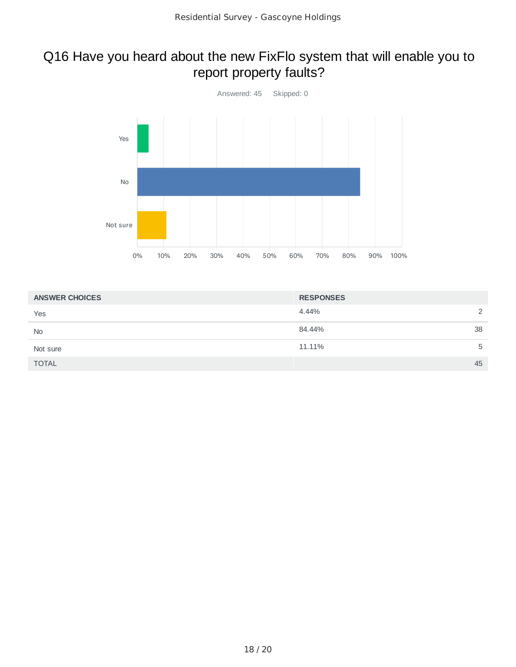## Q16 Have you heard about the new FixFlo system that will enable you to report property faults?



| <b>ANSWER CHOICES</b> | <b>RESPONSES</b> |  |  |
|-----------------------|------------------|--|--|
| Yes                   | 4.44%<br>っ       |  |  |
| <b>No</b>             | 84.44%<br>38     |  |  |
| Not sure              | 11.11%<br>5      |  |  |
| <b>TOTAL</b>          | 45               |  |  |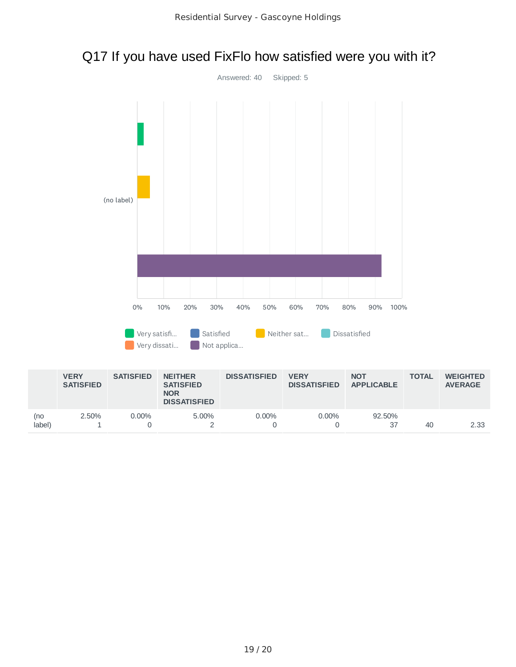# Q17 If you have used FixFlo how satisfied were you with it?



|               |            |       | <b>NOR</b><br><b>DISSATISFIED</b> |          |          |                     |    |      |
|---------------|------------|-------|-----------------------------------|----------|----------|---------------------|----|------|
| (no<br>label) | 2.50%<br>- | 0.00% | 5.00%                             | $0.00\%$ | $0.00\%$ | 92.50%<br>~-<br>. ب | 40 | 2.33 |